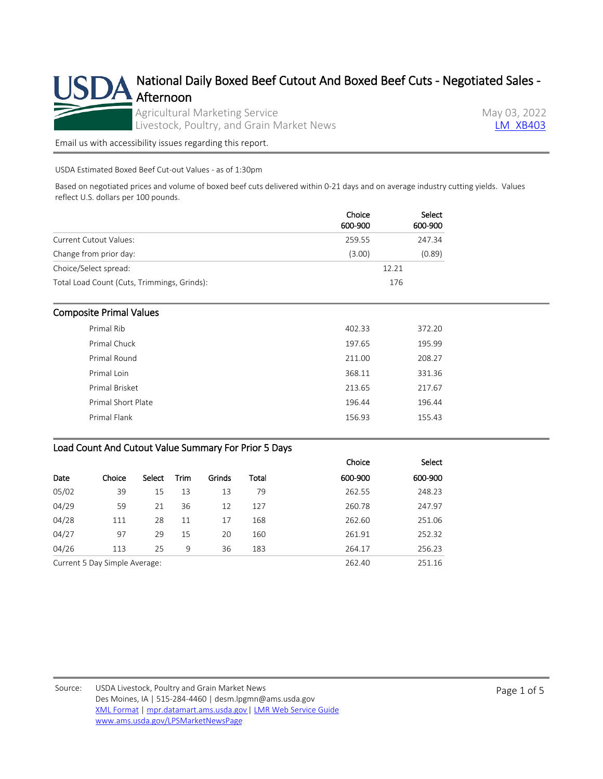

[Email us with accessibility issues regarding this report.](mailto:mpr.lpgmn@ams.usda.gov?subject=508%20Issue)

USDA Estimated Boxed Beef Cut-out Values - as of 1:30pm

Based on negotiated prices and volume of boxed beef cuts delivered within 0-21 days and on average industry cutting yields. Values reflect U.S. dollars per 100 pounds.

|                                             | Choice<br>600-900 | Select<br>600-900 |
|---------------------------------------------|-------------------|-------------------|
| <b>Current Cutout Values:</b>               | 259.55            | 247.34            |
| Change from prior day:                      | (3.00)            | (0.89)            |
| Choice/Select spread:                       |                   | 12.21             |
| Total Load Count (Cuts, Trimmings, Grinds): |                   | 176               |

### Composite Primal Values

| Primal Rib         | 402.33 | 372.20 |
|--------------------|--------|--------|
| Primal Chuck       | 197.65 | 195.99 |
| Primal Round       | 211.00 | 208.27 |
| Primal Loin        | 368.11 | 331.36 |
| Primal Brisket     | 213.65 | 217.67 |
| Primal Short Plate | 196.44 | 196.44 |
| Primal Flank       | 156.93 | 155.43 |
|                    |        |        |

### Load Count And Cutout Value Summary For Prior 5 Days

|                               |        |        |             |        |        | Choice  | Select  |
|-------------------------------|--------|--------|-------------|--------|--------|---------|---------|
| Date                          | Choice | Select | <b>Trim</b> | Grinds | Total  | 600-900 | 600-900 |
| 05/02                         | 39     | 15     | 13          | 13     | 79     | 262.55  | 248.23  |
| 04/29                         | 59     | 21     | 36          | 12     | 127    | 260.78  | 247.97  |
| 04/28                         | 111    | 28     | 11          | 17     | 168    | 262.60  | 251.06  |
| 04/27                         | 97     | 29     | 15          | 20     | 160    | 261.91  | 252.32  |
| 04/26                         | 113    | 25     | 9           | 36     | 183    | 264.17  | 256.23  |
| Current 5 Day Simple Average: |        |        |             |        | 262.40 | 251.16  |         |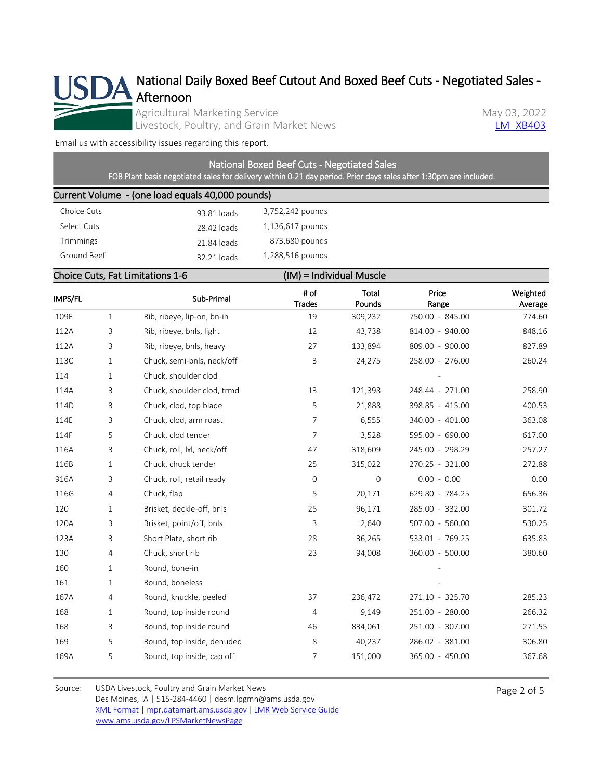

National Daily Boxed Beef Cutout And Boxed Beef Cuts - Negotiated Sales -

Agricultural Marketing Service<br>
Livestock, Poultry, and Grain Market News<br>
May 03, 2022 Livestock, Poultry, and Grain Market News

[Email us with accessibility issues regarding this report.](mailto:mpr.lpgmn@ams.usda.gov?subject=508%20Issue)

# National Boxed Beef Cuts - Negotiated Sales

FOB Plant basis negotiated sales for delivery within 0-21 day period. Prior days sales after 1:30pm are included.

## Current Volume - (one load equals 40,000 pounds)

| 93.81 loads | 3,752,242 pounds |
|-------------|------------------|
| 28.42 loads | 1,136,617 pounds |
| 21.84 loads | 873,680 pounds   |
| 32.21 loads | 1,288,516 pounds |
|             |                  |

## Choice Cuts, Fat Limitations 1-6 (IM) = Individual Muscle

| IMPS/FL |                | Sub-Primal                 | # of<br><b>Trades</b> | Total<br>Pounds | Price<br>Range  | Weighted<br>Average |
|---------|----------------|----------------------------|-----------------------|-----------------|-----------------|---------------------|
| 109E    | $\mathbf{1}$   | Rib, ribeye, lip-on, bn-in | 19                    | 309,232         | 750.00 - 845.00 | 774.60              |
| 112A    | 3              | Rib, ribeye, bnls, light   | 12                    | 43,738          | 814.00 - 940.00 | 848.16              |
| 112A    | 3              | Rib, ribeye, bnls, heavy   | 27                    | 133,894         | 809.00 - 900.00 | 827.89              |
| 113C    | 1              | Chuck, semi-bnls, neck/off | 3                     | 24,275          | 258.00 - 276.00 | 260.24              |
| 114     | $\mathbf{1}$   | Chuck, shoulder clod       |                       |                 |                 |                     |
| 114A    | 3              | Chuck, shoulder clod, trmd | 13                    | 121,398         | 248.44 - 271.00 | 258.90              |
| 114D    | 3              | Chuck, clod, top blade     | 5                     | 21,888          | 398.85 - 415.00 | 400.53              |
| 114E    | 3              | Chuck, clod, arm roast     | $\overline{7}$        | 6,555           | 340.00 - 401.00 | 363.08              |
| 114F    | 5              | Chuck, clod tender         | $\overline{7}$        | 3,528           | 595.00 - 690.00 | 617.00              |
| 116A    | 3              | Chuck, roll, lxl, neck/off | 47                    | 318,609         | 245.00 - 298.29 | 257.27              |
| 116B    | $\mathbf{1}$   | Chuck, chuck tender        | 25                    | 315,022         | 270.25 - 321.00 | 272.88              |
| 916A    | 3              | Chuck, roll, retail ready  | $\mathbf 0$           | $\overline{0}$  | $0.00 - 0.00$   | 0.00                |
| 116G    | 4              | Chuck, flap                | 5                     | 20,171          | 629.80 - 784.25 | 656.36              |
| 120     | 1              | Brisket, deckle-off, bnls  | 25                    | 96,171          | 285.00 - 332.00 | 301.72              |
| 120A    | 3              | Brisket, point/off, bnls   | 3                     | 2,640           | 507.00 - 560.00 | 530.25              |
| 123A    | 3              | Short Plate, short rib     | 28                    | 36,265          | 533.01 - 769.25 | 635.83              |
| 130     | $\overline{4}$ | Chuck, short rib           | 23                    | 94,008          | 360.00 - 500.00 | 380.60              |
| 160     | $\mathbf{1}$   | Round, bone-in             |                       |                 |                 |                     |
| 161     | $\mathbf{1}$   | Round, boneless            |                       |                 |                 |                     |
| 167A    | $\overline{4}$ | Round, knuckle, peeled     | 37                    | 236,472         | 271.10 - 325.70 | 285.23              |
| 168     | $\mathbf{1}$   | Round, top inside round    | $\overline{4}$        | 9,149           | 251.00 - 280.00 | 266.32              |
| 168     | 3              | Round, top inside round    | 46                    | 834,061         | 251.00 - 307.00 | 271.55              |
| 169     | 5              | Round, top inside, denuded | 8                     | 40,237          | 286.02 - 381.00 | 306.80              |
| 169A    | 5              | Round, top inside, cap off | 7                     | 151,000         | 365.00 - 450.00 | 367.68              |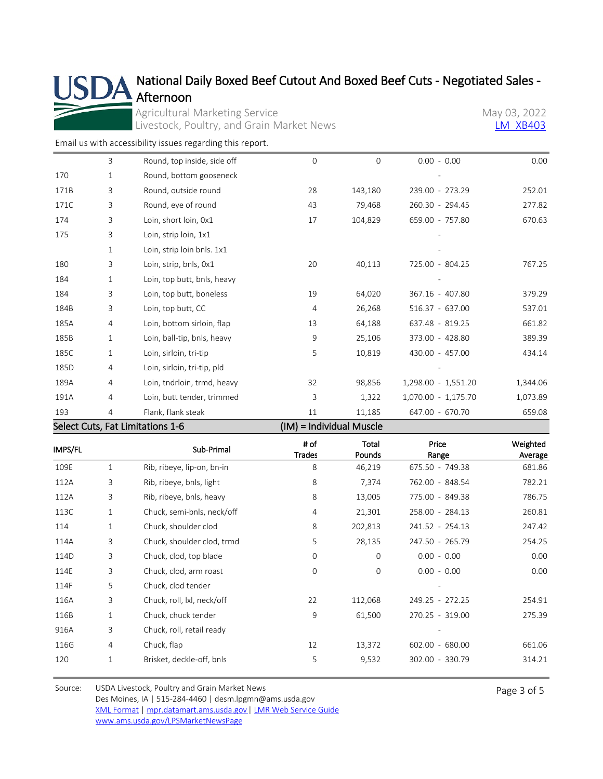## National Daily Boxed Beef Cutout And Boxed Beef Cuts - Negotiated Sales - Afternoon

Agricultural Marketing Service<br>
Livestock, Poultry, and Grain Market News<br>
May 03, 2022<br>
May 03, 2022 Livestock, Poultry, and Grain Market News

[Email us with accessibility issues regarding this report.](mailto:mpr.lpgmn@ams.usda.gov?subject=508%20Issue)

S

| .    |              |                             | $\mathbf{112.41}$ |          | .        |                     |          |
|------|--------------|-----------------------------|-------------------|----------|----------|---------------------|----------|
| 193  | 4            | Flank, flank steak          |                   | 11       | 11,185   | 647.00 - 670.70     | 659.08   |
| 191A | 4            | Loin, butt tender, trimmed  |                   | 3        | 1,322    | 1,070.00 - 1,175.70 | 1,073.89 |
| 189A | 4            | Loin, tndrloin, trmd, heavy |                   | 32       | 98,856   | 1,298.00 - 1,551.20 | 1,344.06 |
| 185D | 4            | Loin, sirloin, tri-tip, pld |                   |          |          |                     |          |
| 185C | $\mathbf{1}$ | Loin, sirloin, tri-tip      |                   | 5        | 10,819   | 430.00 - 457.00     | 434.14   |
| 185B | 1            | Loin, ball-tip, bnls, heavy |                   | 9        | 25,106   | 373.00 - 428.80     | 389.39   |
| 185A | 4            | Loin, bottom sirloin, flap  |                   | 13       | 64,188   | 637.48 - 819.25     | 661.82   |
| 184B | 3            | Loin, top butt, CC          |                   | 4        | 26,268   | 516.37 - 637.00     | 537.01   |
| 184  | 3            | Loin, top butt, boneless    |                   | 19       | 64,020   | 367.16 - 407.80     | 379.29   |
| 184  | $\mathbf{1}$ | Loin, top butt, bnls, heavy |                   |          |          |                     |          |
| 180  | 3            | Loin, strip, bnls, 0x1      |                   | 20       | 40,113   | 725.00 - 804.25     | 767.25   |
|      | $\mathbf{1}$ | Loin, strip loin bnls. 1x1  |                   |          |          |                     |          |
| 175  | 3            | Loin, strip loin, 1x1       |                   |          |          |                     |          |
| 174  | 3            | Loin, short loin, 0x1       |                   | 17       | 104,829  | 659.00 - 757.80     | 670.63   |
| 171C | 3            | Round, eye of round         |                   | 43       | 79,468   | 260.30 - 294.45     | 277.82   |
| 171B | 3            | Round, outside round        |                   | 28       | 143,180  | 239.00 - 273.29     | 252.01   |
| 170  | 1            | Round, bottom gooseneck     |                   |          |          |                     |          |
|      | 3            | Round, top inside, side off |                   | $\Omega$ | $\Omega$ | $0.00 - 0.00$       | 0.00     |

| Select Cuts, Fat Limitations 1-6 | (IM) = Individual Muscle |
|----------------------------------|--------------------------|
|----------------------------------|--------------------------|

| IMPS/FL |              | Sub-Primal                 | # of<br>Trades | Total<br>Pounds | Price<br>Range  | Weighted<br>Average |
|---------|--------------|----------------------------|----------------|-----------------|-----------------|---------------------|
| 109E    | 1            | Rib, ribeye, lip-on, bn-in | 8              | 46,219          | 675.50 - 749.38 | 681.86              |
| 112A    | 3            | Rib, ribeye, bnls, light   | 8              | 7,374           | 762.00 - 848.54 | 782.21              |
| 112A    | 3            | Rib, ribeye, bnls, heavy   | 8              | 13,005          | 775.00 - 849.38 | 786.75              |
| 113C    | $\mathbf{1}$ | Chuck, semi-bnls, neck/off | 4              | 21,301          | 258.00 - 284.13 | 260.81              |
| 114     | 1            | Chuck, shoulder clod       | 8              | 202,813         | 241.52 - 254.13 | 247.42              |
| 114A    | 3            | Chuck, shoulder clod, trmd | 5              | 28,135          | 247.50 - 265.79 | 254.25              |
| 114D    | 3            | Chuck, clod, top blade     | 0              | $\Omega$        | $0.00 - 0.00$   | 0.00                |
| 114E    | 3            | Chuck, clod, arm roast     | 0              | 0               | $0.00 - 0.00$   | 0.00                |
| 114F    | 5            | Chuck, clod tender         |                |                 |                 |                     |
| 116A    | 3            | Chuck, roll, lxl, neck/off | 22             | 112,068         | 249.25 - 272.25 | 254.91              |
| 116B    | $\mathbf{1}$ | Chuck, chuck tender        | 9              | 61,500          | 270.25 - 319.00 | 275.39              |
| 916A    | 3            | Chuck, roll, retail ready  |                |                 |                 |                     |
| 116G    | 4            | Chuck, flap                | 12             | 13,372          | 602.00 - 680.00 | 661.06              |
| 120     | 1            | Brisket, deckle-off, bnls  | 5              | 9,532           | 302.00 - 330.79 | 314.21              |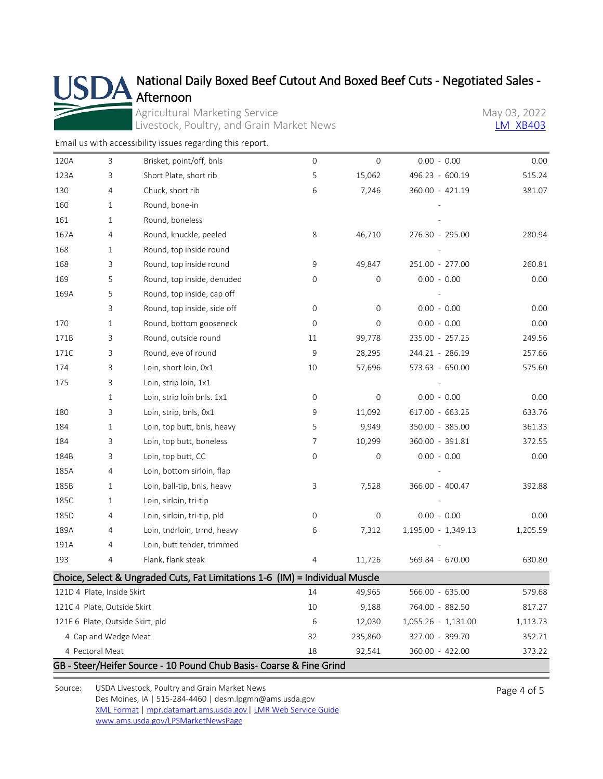# Afternoon

# National Daily Boxed Beef Cutout And Boxed Beef Cuts - Negotiated Sales -

Agricultural Marketing Service<br>
Livestock, Poultry, and Grain Market News<br>
May 03, 2022<br>
May 03, 2022 Livestock, Poultry, and Grain Market News

[Email us with accessibility issues regarding this report.](mailto:mpr.lpgmn@ams.usda.gov?subject=508%20Issue)

| 120A                        | 3                    | Brisket, point/off, bnls                                                     | 0      | 0               | $0.00 - 0.00$       | 0.00     |
|-----------------------------|----------------------|------------------------------------------------------------------------------|--------|-----------------|---------------------|----------|
| 123A                        | 3                    | Short Plate, short rib                                                       | 5      | 15,062          | 496.23 - 600.19     | 515.24   |
| 130                         | 4                    | Chuck, short rib                                                             | 6      | 7,246           | 360.00 - 421.19     | 381.07   |
| 160                         | 1                    | Round, bone-in                                                               |        |                 |                     |          |
| 161                         | 1                    | Round, boneless                                                              |        |                 |                     |          |
| 167A                        | 4                    | Round, knuckle, peeled                                                       | 8      | 46,710          | 276.30 - 295.00     | 280.94   |
| 168                         | 1                    | Round, top inside round                                                      |        |                 |                     |          |
| 168                         | 3                    | Round, top inside round                                                      | 9      | 49,847          | 251.00 - 277.00     | 260.81   |
| 169                         | 5                    | Round, top inside, denuded                                                   | 0      | 0               | $0.00 - 0.00$       | 0.00     |
| 169A                        | 5                    | Round, top inside, cap off                                                   |        |                 |                     |          |
|                             | 3                    | Round, top inside, side off                                                  | 0      | 0               | $0.00 - 0.00$       | 0.00     |
| 170                         | 1                    | Round, bottom gooseneck                                                      | 0      | $\overline{0}$  | $0.00 - 0.00$       | 0.00     |
| 171B                        | 3                    | Round, outside round                                                         | 11     | 99,778          | 235.00 - 257.25     | 249.56   |
| 171C                        | 3                    | Round, eye of round                                                          | 9      | 28,295          | 244.21 - 286.19     | 257.66   |
| 174                         | 3                    | Loin, short loin, 0x1                                                        | 10     | 57,696          | 573.63 - 650.00     | 575.60   |
| 175                         | 3                    | Loin, strip loin, 1x1                                                        |        |                 |                     |          |
|                             | 1                    | Loin, strip loin bnls. 1x1                                                   | 0      | 0               | $0.00 - 0.00$       | 0.00     |
| 180                         | 3                    | Loin, strip, bnls, 0x1                                                       | 9      | 11,092          | 617.00 - 663.25     | 633.76   |
| 184                         | 1                    | Loin, top butt, bnls, heavy                                                  | 5      | 9,949           | 350.00 - 385.00     | 361.33   |
| 184                         | 3                    | Loin, top butt, boneless                                                     | 7      | 10,299          | 360.00 - 391.81     | 372.55   |
| 184B                        | 3                    | Loin, top butt, CC                                                           | 0      | 0               | $0.00 - 0.00$       | 0.00     |
| 185A                        | 4                    | Loin, bottom sirloin, flap                                                   |        |                 |                     |          |
| 185B                        | 1                    | Loin, ball-tip, bnls, heavy                                                  | 3      | 7,528           | 366.00 - 400.47     | 392.88   |
| 185C                        | 1                    | Loin, sirloin, tri-tip                                                       |        |                 |                     |          |
| 185D                        | 4                    | Loin, sirloin, tri-tip, pld                                                  | 0      | 0               | $0.00 - 0.00$       | 0.00     |
| 189A                        | 4                    | Loin, tndrloin, trmd, heavy                                                  | 6      | 7,312           | 1,195.00 - 1,349.13 | 1,205.59 |
| 191A                        | 4                    | Loin, butt tender, trimmed                                                   |        |                 |                     |          |
| 193                         | 4                    | Flank, flank steak                                                           | 4      | 11,726          | 569.84 - 670.00     | 630.80   |
|                             |                      | Choice, Select & Ungraded Cuts, Fat Limitations 1-6 (IM) = Individual Muscle |        |                 |                     |          |
| 121D 4 Plate, Inside Skirt  |                      | 14                                                                           | 49,965 | 566.00 - 635.00 | 579.68              |          |
| 121C 4 Plate, Outside Skirt |                      | 10                                                                           | 9,188  | 764.00 - 882.50 | 817.27              |          |
|                             |                      | 121E 6 Plate, Outside Skirt, pld                                             | 6      | 12,030          | 1,055.26 - 1,131.00 | 1,113.73 |
|                             | 4 Cap and Wedge Meat |                                                                              | 32     | 235,860         | 327.00 - 399.70     | 352.71   |
|                             | 4 Pectoral Meat      |                                                                              | 18     | 92,541          | 360.00 - 422.00     | 373.22   |
|                             |                      | GB - Steer/Heifer Source - 10 Pound Chub Basis- Coarse & Fine Grind          |        |                 |                     |          |